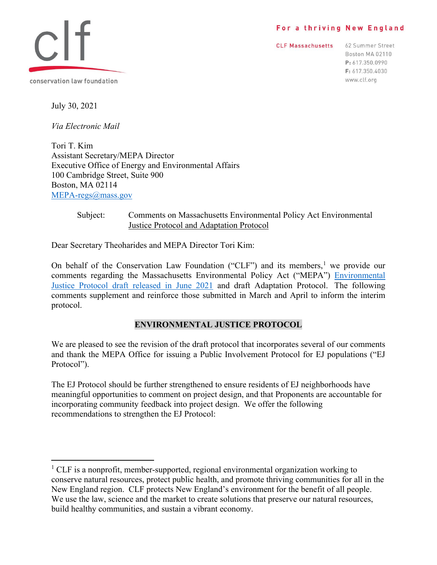#### For a thriving New England

**CLF Massachusetts** 

62 Summer Street Boston MA 02110 P: 617.350.0990 F: 617.350.4030 www.clf.org



July 30, 2021

*Via Electronic Mail* 

Tori T. Kim Assistant Secretary/MEPA Director Executive Office of Energy and Environmental Affairs 100 Cambridge Street, Suite 900 Boston, MA 02114 [MEPA-regs@mass.gov](mailto:MEPA-regs@mass.gov)

#### Subject: Comments on Massachusetts Environmental Policy Act Environmental Justice Protocol and Adaptation Protocol

Dear Secretary Theoharides and MEPA Director Tori Kim:

On behalf of the Conservation Law Foundation ("CLF") and its members,<sup>[1](#page-0-0)</sup> we provide our comments regarding the Massachusetts Environmental Policy Act ("MEPA") [Environmental](https://www.mass.gov/doc/mepa-revised-public-involvement-protocol-for-environmental-justice-populations-june-2021-clean/download)  [Justice Protocol draft released in June 2021](https://www.mass.gov/doc/mepa-revised-public-involvement-protocol-for-environmental-justice-populations-june-2021-clean/download) and draft Adaptation Protocol. The following comments supplement and reinforce those submitted in March and April to inform the interim protocol.

### **ENVIRONMENTAL JUSTICE PROTOCOL**

We are pleased to see the revision of the draft protocol that incorporates several of our comments and thank the MEPA Office for issuing a Public Involvement Protocol for EJ populations ("EJ Protocol").

The EJ Protocol should be further strengthened to ensure residents of EJ neighborhoods have meaningful opportunities to comment on project design, and that Proponents are accountable for incorporating community feedback into project design. We offer the following recommendations to strengthen the EJ Protocol:

<span id="page-0-0"></span><sup>&</sup>lt;sup>1</sup> CLF is a nonprofit, member-supported, regional environmental organization working to conserve natural resources, protect public health, and promote thriving communities for all in the New England region. CLF protects New England's environment for the benefit of all people. We use the law, science and the market to create solutions that preserve our natural resources, build healthy communities, and sustain a vibrant economy.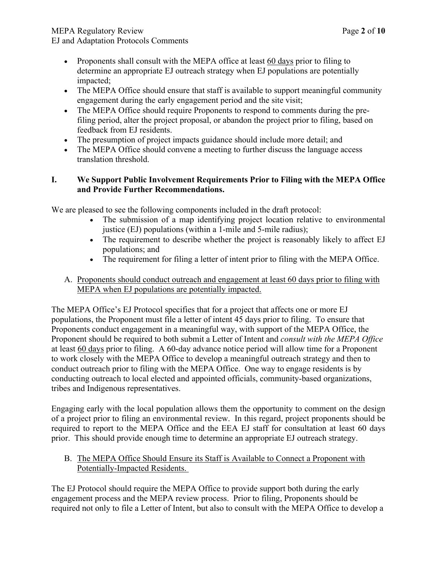- Proponents shall consult with the MEPA office at least 60 days prior to filing to determine an appropriate EJ outreach strategy when EJ populations are potentially impacted;
- The MEPA Office should ensure that staff is available to support meaningful community engagement during the early engagement period and the site visit;
- The MEPA Office should require Proponents to respond to comments during the prefiling period, alter the project proposal, or abandon the project prior to filing, based on feedback from EJ residents.
- The presumption of project impacts guidance should include more detail; and
- The MEPA Office should convene a meeting to further discuss the language access translation threshold.

## **I. We Support Public Involvement Requirements Prior to Filing with the MEPA Office and Provide Further Recommendations.**

We are pleased to see the following components included in the draft protocol:

- The submission of a map identifying project location relative to environmental justice (EJ) populations (within a 1-mile and 5-mile radius);
- The requirement to describe whether the project is reasonably likely to affect EJ populations; and
- The requirement for filing a letter of intent prior to filing with the MEPA Office.
- A. Proponents should conduct outreach and engagement at least 60 days prior to filing with MEPA when EJ populations are potentially impacted.

The MEPA Office's EJ Protocol specifies that for a project that affects one or more EJ populations, the Proponent must file a letter of intent 45 days prior to filing. To ensure that Proponents conduct engagement in a meaningful way, with support of the MEPA Office, the Proponent should be required to both submit a Letter of Intent and *consult with the MEPA Office* at least 60 days prior to filing. A 60-day advance notice period will allow time for a Proponent to work closely with the MEPA Office to develop a meaningful outreach strategy and then to conduct outreach prior to filing with the MEPA Office. One way to engage residents is by conducting outreach to local elected and appointed officials, community-based organizations, tribes and Indigenous representatives.

Engaging early with the local population allows them the opportunity to comment on the design of a project prior to filing an environmental review. In this regard, project proponents should be required to report to the MEPA Office and the EEA EJ staff for consultation at least 60 days prior. This should provide enough time to determine an appropriate EJ outreach strategy.

### B. The MEPA Office Should Ensure its Staff is Available to Connect a Proponent with Potentially-Impacted Residents.

The EJ Protocol should require the MEPA Office to provide support both during the early engagement process and the MEPA review process. Prior to filing, Proponents should be required not only to file a Letter of Intent, but also to consult with the MEPA Office to develop a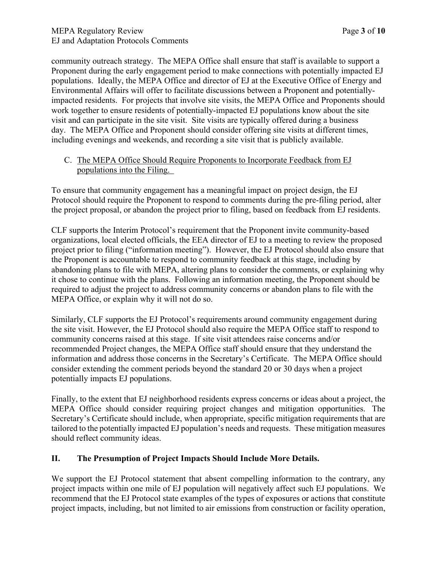community outreach strategy. The MEPA Office shall ensure that staff is available to support a Proponent during the early engagement period to make connections with potentially impacted EJ populations. Ideally, the MEPA Office and director of EJ at the Executive Office of Energy and Environmental Affairs will offer to facilitate discussions between a Proponent and potentiallyimpacted residents. For projects that involve site visits, the MEPA Office and Proponents should work together to ensure residents of potentially-impacted EJ populations know about the site visit and can participate in the site visit. Site visits are typically offered during a business day. The MEPA Office and Proponent should consider offering site visits at different times, including evenings and weekends, and recording a site visit that is publicly available.

### C. The MEPA Office Should Require Proponents to Incorporate Feedback from EJ populations into the Filing.

To ensure that community engagement has a meaningful impact on project design, the EJ Protocol should require the Proponent to respond to comments during the pre-filing period, alter the project proposal, or abandon the project prior to filing, based on feedback from EJ residents.

CLF supports the Interim Protocol's requirement that the Proponent invite community-based organizations, local elected officials, the EEA director of EJ to a meeting to review the proposed project prior to filing ("information meeting"). However, the EJ Protocol should also ensure that the Proponent is accountable to respond to community feedback at this stage, including by abandoning plans to file with MEPA, altering plans to consider the comments, or explaining why it chose to continue with the plans. Following an information meeting, the Proponent should be required to adjust the project to address community concerns or abandon plans to file with the MEPA Office, or explain why it will not do so.

Similarly, CLF supports the EJ Protocol's requirements around community engagement during the site visit. However, the EJ Protocol should also require the MEPA Office staff to respond to community concerns raised at this stage. If site visit attendees raise concerns and/or recommended Project changes, the MEPA Office staff should ensure that they understand the information and address those concerns in the Secretary's Certificate. The MEPA Office should consider extending the comment periods beyond the standard 20 or 30 days when a project potentially impacts EJ populations.

Finally, to the extent that EJ neighborhood residents express concerns or ideas about a project, the MEPA Office should consider requiring project changes and mitigation opportunities. The Secretary's Certificate should include, when appropriate, specific mitigation requirements that are tailored to the potentially impacted EJ population's needs and requests. These mitigation measures should reflect community ideas.

## **II. The Presumption of Project Impacts Should Include More Details.**

We support the EJ Protocol statement that absent compelling information to the contrary, any project impacts within one mile of EJ population will negatively affect such EJ populations. We recommend that the EJ Protocol state examples of the types of exposures or actions that constitute project impacts, including, but not limited to air emissions from construction or facility operation,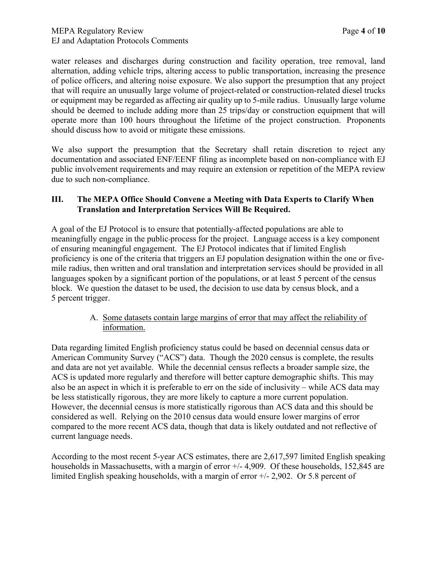water releases and discharges during construction and facility operation, tree removal, land alternation, adding vehicle trips, altering access to public transportation, increasing the presence of police officers, and altering noise exposure. We also support the presumption that any project that will require an unusually large volume of project-related or construction-related diesel trucks or equipment may be regarded as affecting air quality up to 5-mile radius. Unusually large volume should be deemed to include adding more than 25 trips/day or construction equipment that will operate more than 100 hours throughout the lifetime of the project construction. Proponents should discuss how to avoid or mitigate these emissions.

We also support the presumption that the Secretary shall retain discretion to reject any documentation and associated ENF/EENF filing as incomplete based on non-compliance with EJ public involvement requirements and may require an extension or repetition of the MEPA review due to such non-compliance.

### **III. The MEPA Office Should Convene a Meeting with Data Experts to Clarify When Translation and Interpretation Services Will Be Required.**

A goal of the EJ Protocol is to ensure that potentially-affected populations are able to meaningfully engage in the public process for the project. Language access is a key component of ensuring meaningful engagement. The EJ Protocol indicates that if limited English proficiency is one of the criteria that triggers an EJ population designation within the one or fivemile radius, then written and oral translation and interpretation services should be provided in all languages spoken by a significant portion of the populations, or at least 5 percent of the census block. We question the dataset to be used, the decision to use data by census block, and a 5 percent trigger.

### A. Some datasets contain large margins of error that may affect the reliability of information.

Data regarding limited English proficiency status could be based on decennial census data or American Community Survey ("ACS") data. Though the 2020 census is complete, the results and data are not yet available. While the decennial census reflects a broader sample size, the ACS is updated more regularly and therefore will better capture demographic shifts. This may also be an aspect in which it is preferable to err on the side of inclusivity – while ACS data may be less statistically rigorous, they are more likely to capture a more current population. However, the decennial census is more statistically rigorous than ACS data and this should be considered as well. Relying on the 2010 census data would ensure lower margins of error compared to the more recent ACS data, though that data is likely outdated and not reflective of current language needs.

According to the most recent 5-year ACS estimates, there are 2,617,597 limited English speaking households in Massachusetts, with a margin of error  $+/$ -4,909. Of these households, 152,845 are limited English speaking households, with a margin of error +/- 2,902. Or 5.8 percent of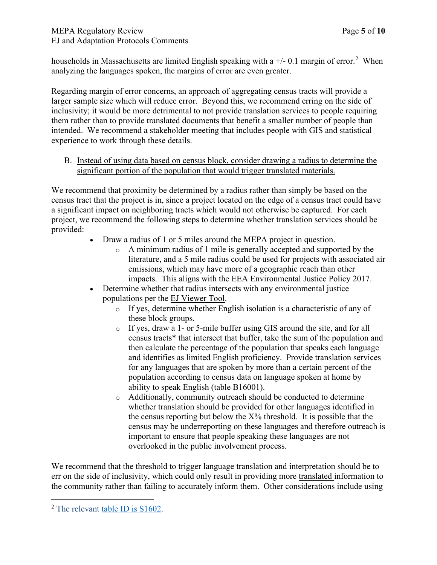## MEPA Regulatory Review Page **5** of **10** EJ and Adaptation Protocols Comments

households in Massachusetts are limited English speaking with a  $+/-0.1$  margin of error.<sup>[2](#page-4-0)</sup> When analyzing the languages spoken, the margins of error are even greater.

Regarding margin of error concerns, an approach of aggregating census tracts will provide a larger sample size which will reduce error. Beyond this, we recommend erring on the side of inclusivity; it would be more detrimental to not provide translation services to people requiring them rather than to provide translated documents that benefit a smaller number of people than intended. We recommend a stakeholder meeting that includes people with GIS and statistical experience to work through these details.

B. Instead of using data based on census block, consider drawing a radius to determine the significant portion of the population that would trigger translated materials.

We recommend that proximity be determined by a radius rather than simply be based on the census tract that the project is in, since a project located on the edge of a census tract could have a significant impact on neighboring tracts which would not otherwise be captured. For each project, we recommend the following steps to determine whether translation services should be provided:

- Draw a radius of 1 or 5 miles around the MEPA project in question.
	- o A minimum radius of 1 mile is generally accepted and supported by the literature, and a 5 mile radius could be used for projects with associated air emissions, which may have more of a geographic reach than other impacts. This aligns with the EEA Environmental Justice Policy 2017.
- Determine whether that radius intersects with any environmental justice populations per the [EJ Viewer Tool.](https://mass-eoeea.maps.arcgis.com/apps/webappviewer/index.html?id=1d6f63e7762a48e5930de84ed4849212)
	- o If yes, determine whether English isolation is a characteristic of any of these block groups.
	- o If yes, draw a 1- or 5-mile buffer using GIS around the site, and for all census tracts\* that intersect that buffer, take the sum of the population and then calculate the percentage of the population that speaks each language and identifies as limited English proficiency. Provide translation services for any languages that are spoken by more than a certain percent of the population according to census data on language spoken at home by ability to speak English (table B16001).
	- Additionally, community outreach should be conducted to determine whether translation should be provided for other languages identified in the census reporting but below the  $X\%$  threshold. It is possible that the census may be underreporting on these languages and therefore outreach is important to ensure that people speaking these languages are not overlooked in the public involvement process.

We recommend that the threshold to trigger language translation and interpretation should be to err on the side of inclusivity, which could only result in providing more translated information to the community rather than failing to accurately inform them. Other considerations include using

<span id="page-4-0"></span><sup>&</sup>lt;sup>2</sup> The relevant [table ID is S1602.](https://data.census.gov/cedsci/table?text=english&t=Language%20Spoken%20at%20Home&g=0400000US25&tid=ACSST5Y2019.S1602&hidePreview=true)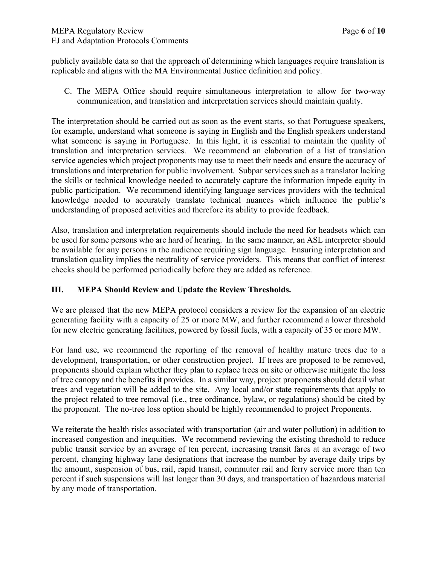publicly available data so that the approach of determining which languages require translation is replicable and aligns with the MA Environmental Justice definition and policy.

### C. The MEPA Office should require simultaneous interpretation to allow for two-way communication, and translation and interpretation services should maintain quality.

The interpretation should be carried out as soon as the event starts, so that Portuguese speakers, for example, understand what someone is saying in English and the English speakers understand what someone is saying in Portuguese. In this light, it is essential to maintain the quality of translation and interpretation services. We recommend an elaboration of a list of translation service agencies which project proponents may use to meet their needs and ensure the accuracy of translations and interpretation for public involvement. Subpar services such as a translator lacking the skills or technical knowledge needed to accurately capture the information impede equity in public participation. We recommend identifying language services providers with the technical knowledge needed to accurately translate technical nuances which influence the public's understanding of proposed activities and therefore its ability to provide feedback.

Also, translation and interpretation requirements should include the need for headsets which can be used for some persons who are hard of hearing. In the same manner, an ASL interpreter should be available for any persons in the audience requiring sign language. Ensuring interpretation and translation quality implies the neutrality of service providers. This means that conflict of interest checks should be performed periodically before they are added as reference.

## **III. MEPA Should Review and Update the Review Thresholds.**

We are pleased that the new MEPA protocol considers a review for the expansion of an electric generating facility with a capacity of 25 or more MW, and further recommend a lower threshold for new electric generating facilities, powered by fossil fuels, with a capacity of 35 or more MW.

For land use, we recommend the reporting of the removal of healthy mature trees due to a development, transportation, or other construction project. If trees are proposed to be removed, proponents should explain whether they plan to replace trees on site or otherwise mitigate the loss of tree canopy and the benefits it provides. In a similar way, project proponents should detail what trees and vegetation will be added to the site. Any local and/or state requirements that apply to the project related to tree removal (i.e., tree ordinance, bylaw, or regulations) should be cited by the proponent. The no-tree loss option should be highly recommended to project Proponents.

We reiterate the health risks associated with transportation (air and water pollution) in addition to increased congestion and inequities. We recommend reviewing the existing threshold to reduce public transit service by an average of ten percent, increasing transit fares at an average of two percent, changing highway lane designations that increase the number by average daily trips by the amount, suspension of bus, rail, rapid transit, commuter rail and ferry service more than ten percent if such suspensions will last longer than 30 days, and transportation of hazardous material by any mode of transportation.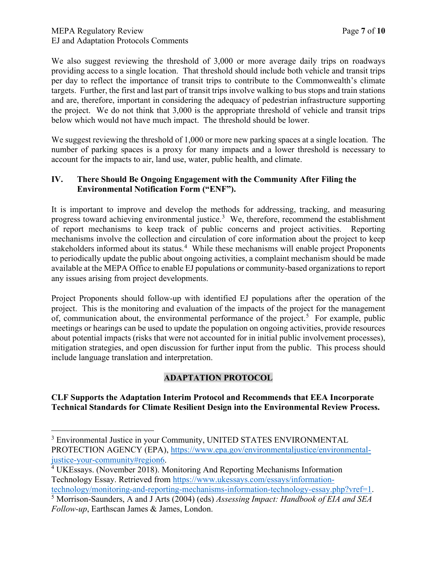We also suggest reviewing the threshold of 3,000 or more average daily trips on roadways providing access to a single location. That threshold should include both vehicle and transit trips per day to reflect the importance of transit trips to contribute to the Commonwealth's climate targets. Further, the first and last part of transit trips involve walking to bus stops and train stations and are, therefore, important in considering the adequacy of pedestrian infrastructure supporting the project. We do not think that 3,000 is the appropriate threshold of vehicle and transit trips below which would not have much impact. The threshold should be lower.

We suggest reviewing the threshold of 1,000 or more new parking spaces at a single location. The number of parking spaces is a proxy for many impacts and a lower threshold is necessary to account for the impacts to air, land use, water, public health, and climate.

### **IV. There Should Be Ongoing Engagement with the Community After Filing the Environmental Notification Form ("ENF").**

It is important to improve and develop the methods for addressing, tracking, and measuring progress toward achieving environmental justice.<sup>[3](#page-6-0)</sup> We, therefore, recommend the establishment of report mechanisms to keep track of public concerns and project activities. Reporting mechanisms involve the collection and circulation of core information about the project to keep stakeholders informed about its status.<sup>[4](#page-6-1)</sup> While these mechanisms will enable project Proponents to periodically update the public about ongoing activities, a complaint mechanism should be made available at the MEPA Office to enable EJ populations or community-based organizations to report any issues arising from project developments.

Project Proponents should follow-up with identified EJ populations after the operation of the project. This is the monitoring and evaluation of the impacts of the project for the management of, communication about, the environmental performance of the project.<sup>[5](#page-6-2)</sup> For example, public meetings or hearings can be used to update the population on ongoing activities, provide resources about potential impacts (risks that were not accounted for in initial public involvement processes), mitigation strategies, and open discussion for further input from the public. This process should include language translation and interpretation.

## **ADAPTATION PROTOCOL**

### **CLF Supports the Adaptation Interim Protocol and Recommends that EEA Incorporate Technical Standards for Climate Resilient Design into the Environmental Review Process.**

<span id="page-6-0"></span><sup>&</sup>lt;sup>3</sup> Environmental Justice in your Community, UNITED STATES ENVIRONMENTAL PROTECTION AGENCY (EPA), [https://www.epa.gov/environmentaljustice/environmental](https://www.epa.gov/environmentaljustice/environmental-justice-your-community#region6)[justice-your-community#region6.](https://www.epa.gov/environmentaljustice/environmental-justice-your-community#region6) 4

<span id="page-6-1"></span>UKEssays. (November 2018). Monitoring And Reporting Mechanisms Information Technology Essay. Retrieved from [https://www.ukessays.com/essays/information](https://www.ukessays.com/essays/information-technology/monitoring-and-reporting-mechanisms-information-technology-essay.php?vref=1)[technology/monitoring-and-reporting-mechanisms-information-technology-essay.php?vref=1.](https://www.ukessays.com/essays/information-technology/monitoring-and-reporting-mechanisms-information-technology-essay.php?vref=1)

<span id="page-6-2"></span>Morrison-Saunders, A and J Arts (2004) (eds) *Assessing Impact: Handbook of EIA and SEA Follow-up*, Earthscan James & James, London.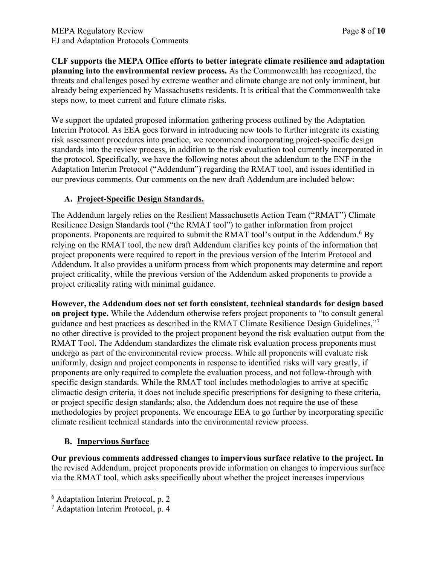**CLF supports the MEPA Office efforts to better integrate climate resilience and adaptation planning into the environmental review process.** As the Commonwealth has recognized, the threats and challenges posed by extreme weather and climate change are not only imminent, but already being experienced by Massachusetts residents. It is critical that the Commonwealth take steps now, to meet current and future climate risks.

We support the updated proposed information gathering process outlined by the Adaptation Interim Protocol. As EEA goes forward in introducing new tools to further integrate its existing risk assessment procedures into practice, we recommend incorporating project-specific design standards into the review process, in addition to the risk evaluation tool currently incorporated in the protocol. Specifically, we have the following notes about the addendum to the ENF in the Adaptation Interim Protocol ("Addendum") regarding the RMAT tool, and issues identified in our previous comments. Our comments on the new draft Addendum are included below:

## **A. Project-Specific Design Standards.**

The Addendum largely relies on the Resilient Massachusetts Action Team ("RMAT") Climate Resilience Design Standards tool ("the RMAT tool") to gather information from project proponents. Proponents are required to submit the RMAT tool's output in the Addendum.<sup>[6](#page-7-0)</sup> By relying on the RMAT tool, the new draft Addendum clarifies key points of the information that project proponents were required to report in the previous version of the Interim Protocol and Addendum. It also provides a uniform process from which proponents may determine and report project criticality, while the previous version of the Addendum asked proponents to provide a project criticality rating with minimal guidance.

**However, the Addendum does not set forth consistent, technical standards for design based on project type.** While the Addendum otherwise refers project proponents to "to consult general guidance and best practices as described in the RMAT Climate Resilience Design Guidelines,"[7](#page-7-1) no other directive is provided to the project proponent beyond the risk evaluation output from the RMAT Tool. The Addendum standardizes the climate risk evaluation process proponents must undergo as part of the environmental review process. While all proponents will evaluate risk uniformly, design and project components in response to identified risks will vary greatly, if proponents are only required to complete the evaluation process, and not follow-through with specific design standards. While the RMAT tool includes methodologies to arrive at specific climactic design criteria, it does not include specific prescriptions for designing to these criteria, or project specific design standards; also, the Addendum does not require the use of these methodologies by project proponents. We encourage EEA to go further by incorporating specific climate resilient technical standards into the environmental review process.

## **B. Impervious Surface**

**Our previous comments addressed changes to impervious surface relative to the project. In** the revised Addendum, project proponents provide information on changes to impervious surface via the RMAT tool, which asks specifically about whether the project increases impervious

<span id="page-7-0"></span><sup>6</sup> Adaptation Interim Protocol, p. 2

<span id="page-7-1"></span><sup>7</sup> Adaptation Interim Protocol, p. 4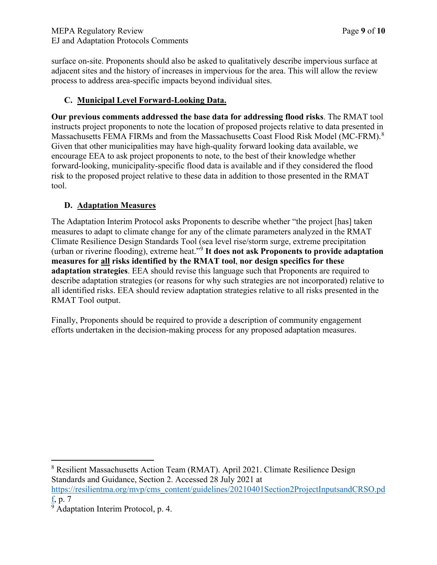surface on-site. Proponents should also be asked to qualitatively describe impervious surface at adjacent sites and the history of increases in impervious for the area. This will allow the review process to address area-specific impacts beyond individual sites.

## **C. Municipal Level Forward-Looking Data.**

**Our previous comments addressed the base data for addressing flood risks**. The RMAT tool instructs project proponents to note the location of proposed projects relative to data presented in Massachusetts FEMA FIRMs and from the Massachusetts Coast Flood Risk Model (MC-FRM).<sup>[8](#page-8-0)</sup> Given that other municipalities may have high-quality forward looking data available, we encourage EEA to ask project proponents to note, to the best of their knowledge whether forward-looking, municipality-specific flood data is available and if they considered the flood risk to the proposed project relative to these data in addition to those presented in the RMAT tool.

# **D. Adaptation Measures**

The Adaptation Interim Protocol asks Proponents to describe whether "the project [has] taken measures to adapt to climate change for any of the climate parameters analyzed in the RMAT Climate Resilience Design Standards Tool (sea level rise/storm surge, extreme precipitation (urban or riverine flooding), extreme heat."[9](#page-8-1) **It does not ask Proponents to provide adaptation measures for all risks identified by the RMAT tool**, **nor design specifics for these adaptation strategies**. EEA should revise this language such that Proponents are required to describe adaptation strategies (or reasons for why such strategies are not incorporated) relative to all identified risks. EEA should review adaptation strategies relative to all risks presented in the RMAT Tool output.

Finally, Proponents should be required to provide a description of community engagement efforts undertaken in the decision-making process for any proposed adaptation measures.

<span id="page-8-0"></span><sup>8</sup> Resilient Massachusetts Action Team (RMAT). April 2021. Climate Resilience Design Standards and Guidance, Section 2. Accessed 28 July 2021 at

[https://resilientma.org/mvp/cms\\_content/guidelines/20210401Section2ProjectInputsandCRSO.pd](https://resilientma.org/mvp/cms_content/guidelines/20210401Section2ProjectInputsandCRSO.pdf) [f,](https://resilientma.org/mvp/cms_content/guidelines/20210401Section2ProjectInputsandCRSO.pdf) p. 7

<span id="page-8-1"></span> $\frac{2}{9}$  Adaptation Interim Protocol, p. 4.